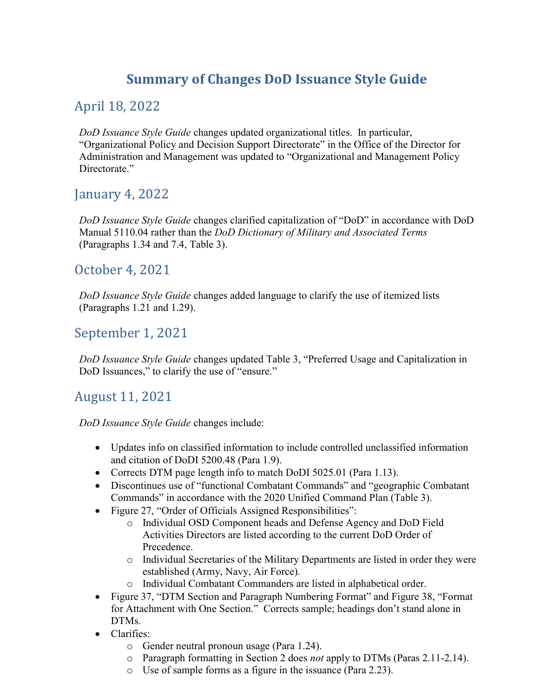# Summary of Changes DoD Issuance Style Guide

## April 18, 2022

DoD Issuance Style Guide changes updated organizational titles. In particular, "Organizational Policy and Decision Support Directorate" in the Office of the Director for Administration and Management was updated to "Organizational and Management Policy Directorate."

## January 4, 2022

DoD Issuance Style Guide changes clarified capitalization of "DoD" in accordance with DoD Manual 5110.04 rather than the DoD Dictionary of Military and Associated Terms (Paragraphs 1.34 and 7.4, Table 3).

#### October 4, 2021

DoD Issuance Style Guide changes added language to clarify the use of itemized lists (Paragraphs 1.21 and 1.29).

#### September 1, 2021

DoD Issuance Style Guide changes updated Table 3, "Preferred Usage and Capitalization in DoD Issuances," to clarify the use of "ensure."

## August 11, 2021

DoD Issuance Style Guide changes include:

- Updates info on classified information to include controlled unclassified information and citation of DoDI 5200.48 (Para 1.9).
- Corrects DTM page length info to match DoDI 5025.01 (Para 1.13).
- Discontinues use of "functional Combatant Commands" and "geographic Combatant Commands" in accordance with the 2020 Unified Command Plan (Table 3).
- Figure 27, "Order of Officials Assigned Responsibilities":
	- o Individual OSD Component heads and Defense Agency and DoD Field Activities Directors are listed according to the current DoD Order of Precedence.
	- o Individual Secretaries of the Military Departments are listed in order they were established (Army, Navy, Air Force).
	- o Individual Combatant Commanders are listed in alphabetical order.
- Figure 37, "DTM Section and Paragraph Numbering Format" and Figure 38, "Format for Attachment with One Section." Corrects sample; headings don't stand alone in DTMs.
- Clarifies:
	- o Gender neutral pronoun usage (Para 1.24).
	- o Paragraph formatting in Section 2 does not apply to DTMs (Paras 2.11-2.14).
	- o Use of sample forms as a figure in the issuance (Para 2.23).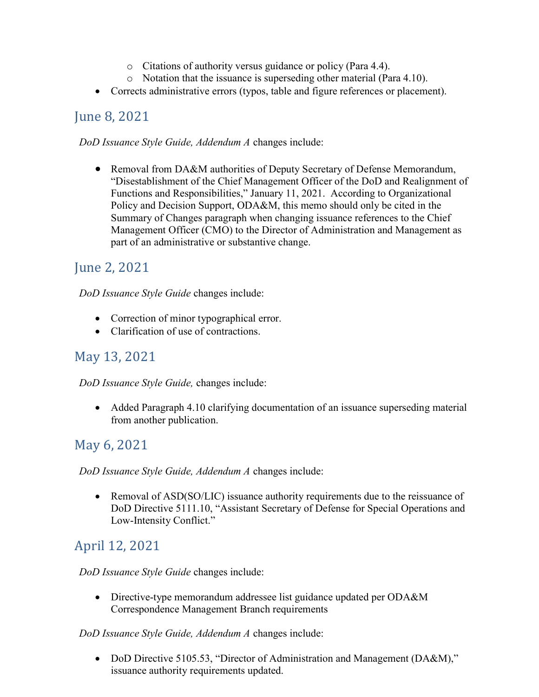- o Citations of authority versus guidance or policy (Para 4.4).
- o Notation that the issuance is superseding other material (Para 4.10).
- Corrects administrative errors (typos, table and figure references or placement).

#### June 8, 2021

DoD Issuance Style Guide, Addendum A changes include:

 Removal from DA&M authorities of Deputy Secretary of Defense Memorandum, "Disestablishment of the Chief Management Officer of the DoD and Realignment of Functions and Responsibilities," January 11, 2021. According to Organizational Policy and Decision Support, ODA&M, this memo should only be cited in the Summary of Changes paragraph when changing issuance references to the Chief Management Officer (CMO) to the Director of Administration and Management as part of an administrative or substantive change.

## June 2, 2021

DoD Issuance Style Guide changes include:

- Correction of minor typographical error.
- Clarification of use of contractions.

## May 13, 2021

DoD Issuance Style Guide, changes include:

 Added Paragraph 4.10 clarifying documentation of an issuance superseding material from another publication.

#### May 6, 2021

DoD Issuance Style Guide, Addendum A changes include:

• Removal of ASD(SO/LIC) issuance authority requirements due to the reissuance of DoD Directive 5111.10, "Assistant Secretary of Defense for Special Operations and Low-Intensity Conflict."

## April 12, 2021

DoD Issuance Style Guide changes include:

 Directive-type memorandum addressee list guidance updated per ODA&M Correspondence Management Branch requirements

DoD Issuance Style Guide, Addendum A changes include:

• DoD Directive 5105.53, "Director of Administration and Management (DA&M)," issuance authority requirements updated.